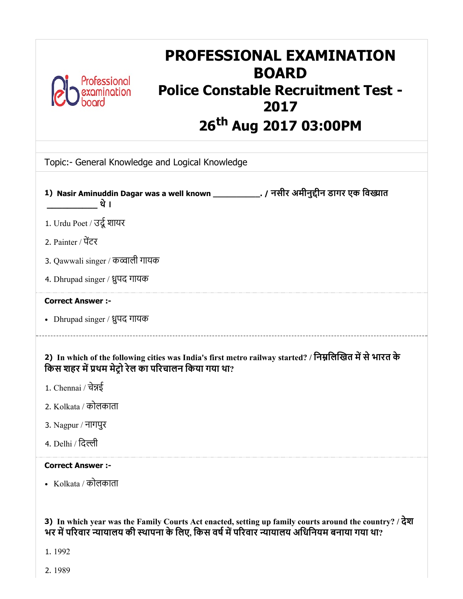

# PROFESSIONAL EXAMINATION BOARD Police Constable Recruitment Test - 2017 26<sup>th</sup> Aug 2017 03:00PM

| Topic:- General Knowledge and Logical Knowledge                                                                                                                  |
|------------------------------------------------------------------------------------------------------------------------------------------------------------------|
| 1) Nasir Aminuddin Dagar was a well known _____________. / नसीर अमीनुद्दीन डागर एक विख्यात<br>थे ।                                                               |
| 1. Urdu Poet / उर्दू शायर                                                                                                                                        |
| 2. Painter / पेंटर                                                                                                                                               |
| 3. Qawwali singer / कव्वाली गायक                                                                                                                                 |
| 4. Dhrupad singer / ध्रुपद गायक                                                                                                                                  |
| <b>Correct Answer :-</b>                                                                                                                                         |
| • Dhrupad singer / ध्रुपद गायक                                                                                                                                   |
| 2) In which of the following cities was India's first metro railway started? / निम्नलिखित में से भारत के<br>किस शहर में प्रथम मेट्रो रेल का परिचालन किया गया था? |
| 1. Chennai / चेन्नई                                                                                                                                              |
| 2. Kolkata / कोलकाता                                                                                                                                             |
| 3. Nagpur / नागपुर                                                                                                                                               |
| 4. Delhi / दिल्ली                                                                                                                                                |
| <b>Correct Answer :-</b>                                                                                                                                         |
| • Kolkata / कोलकाता                                                                                                                                              |

3) In which year was the Family Courts Act enacted, setting up family courts around the country? / देश भर में परिवार न्यायालय की स्थापना के लिए, किस वर्ष में परिवार न्यायालय अधिनियम बनाया गया था?

1. 1992

2. 1989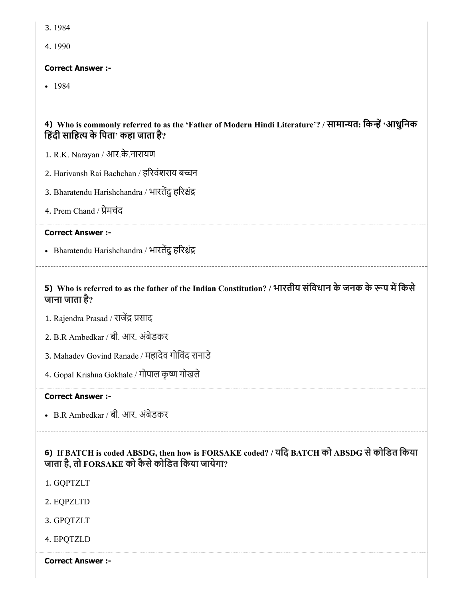3. 1984

4. 1990

#### Correct Answer :-

 $-1984$ 

# 4) Who is commonly referred to as the 'Father of Modern Hindi Literature'? / सामान्यत: किन्हें 'आधुनिक हिंदी साहित्य के पिता $\dot{ }$  कहा जाता है?

- 1. R.K. Narayan / आर.के.नारायण
- 2. Harivansh Rai Bachchan / हरिवंशराय बच्चन
- 3. Bharatendu Harishchandra / भारतेंदु हरिश्चंद्र
- 4. Prem Chand / प्रेमचंद

#### Correct Answer :-

• Bharatendu Harishchandra / भारतेंदु हरिश्चंद्र

# 5) Who is referred to as the father of the Indian Constitution? / भारतीय संविधान के जनक के रूप में किसे जाना जाता है?

- 1. Rajendra Prasad / राजेंद्र प्रसाद
- 2. B.R Ambedkar / बी. आर. अंबेडकर
- 3. Mahadev Govind Ranade / महादेव गोिवंद रानाडे
- 4. Gopal Krishna Gokhale / गोपाल कृ गोखले

#### Correct Answer :-

B.R Ambedkar / बी. आर. अंबेडकर

# 6) If BATCH is coded ABSDG, then how is FORSAKE coded? / यिद BATCH को ABSDG सेकोिडत िकया जाता है, तो FORSAKE को कैसेकोिडत िकया जायेगा?

- 1. GQPTZLT
- 2. EQPZLTD
- 3. GPQTZLT
- 4. EPQTZLD

Correct Answer :-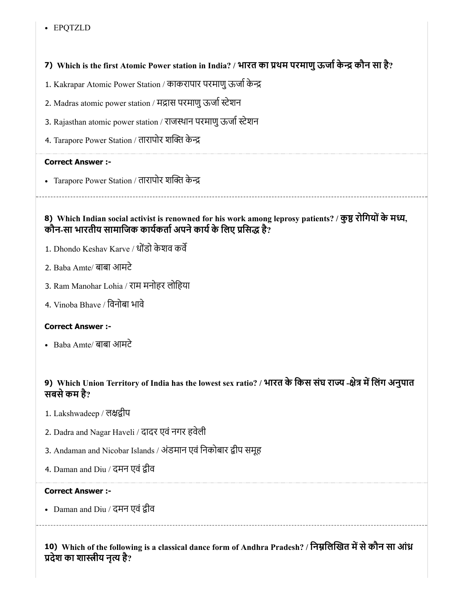#### EPQTZLD

# 7) Which is the first Atomic Power station in India? / भारत का थम परमाणुऊजाके कौन सा है?

- 1. Kakrapar Atomic Power Station / काकरापार परमाणु ऊर्जा केन्द्र
- 2. Madras atomic power station / मद्रास परमाणु ऊर्जा स्टेशन
- 3. Rajasthan atomic power station / राजस्थान परमाणु ऊर्जा स्टेशन
- 4. Tarapore Power Station / तारापोर शक्ति केन्द्र

#### Correct Answer :-

• Tarapore Power Station / तारापोर शक्ति केन्द्र

# 8) Which Indian social activist is renowned for his work among leprosy patients? / कुष्ठ रोगियों के मध्य, कौन-सा भारतीय सामाजिक कार्यकर्ता अपने कार्य के लिए प्रसिद्ध है?

- 1. Dhondo Keshav Karve / धोंडो केशव कर्वे
- 2. Baba Amte/ बाबा आमटे
- 3. Ram Manohar Lohia / राम मनोहर लोिहया
- 4. Vinoba Bhave / िवनोबा भावे

# Correct Answer :-

Baba Amte/ बाबा आमटे

# 9) Which Union Territory of India has the lowest sex ratio? / भारत के किस संघ राज्य -क्षेत्र में लिंग अनुपात सबसेकम है?

- 1. Lakshwadeep / लक्षद्वीप
- 2. Dadra and Nagar Haveli / दादर एवं नगर हवेली
- 3. Andaman and Nicobar Islands / अंडमान एवं निकोबार द्वीप समूह
- 4. Daman and Diu / दमन एवं द्वीव

#### Correct Answer :-

• Daman and Diu / दमन एवं द्वीव

10) Which of the following is a classical dance form of Andhra Pradesh? / निम्नलिखित में से कौन सा आंध्र प्रदेश का शास्त्रीय नृत्य है?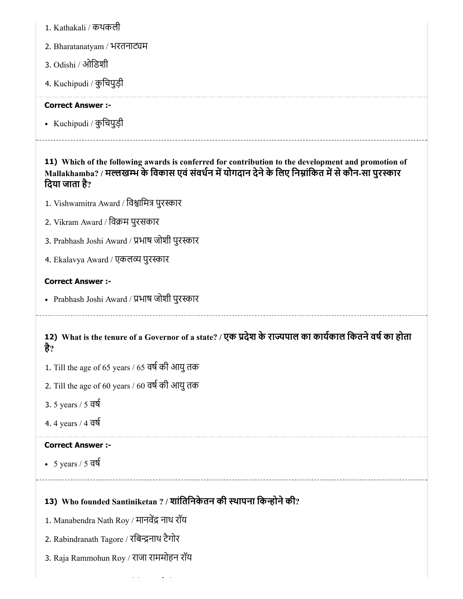- 1. Kathakali / कथकली
- 2. Bharatanatyam / भरतनाट्यम
- 3. Odishi / ओिडशी
- 4. Kuchipudi / कुिचपुड़ी

Kuchipudi / कुिचपुड़ी

11) Which of the following awards is conferred for contribution to the development and promotion of Mallakhamba? / मल्लखम्भ के विकास एवं संवर्धन में योगदान देने के लिए निम्नांकित में से कौन-सा पुरस्कार िदया जाता है?

- 1. Vishwamitra Award / विश्वामित्र पुरस्कार
- 2. Vikram Award / िवम पुरसकार
- 3. Prabhash Joshi Award / प्रभाष जोशी पुरस्कार
- 4. Ekalavya Award / एकलव्य पुरस्कार

#### Correct Answer :-

• Prabhash Joshi Award / प्रभाष जोशी पुरस्कार

# 12) What is the tenure of a Governor of a state? / एक प्रदेश के राज्यपाल का कार्यकाल कितने वर्ष का होता है?

- 1. Till the age of 65 years / 65 वर्ष की आयु तक
- 2. Till the age of 60 years / 60 वर्ष की आयु तक
- 3. 5 years / 5 वष
- 4. 4 years / 4 वष

# Correct Answer :-

 $-5 \text{ years} / 5 \text{ d}$ 

# 13) Who founded Santiniketan ? / शांतिनिकेतन की स्थापना किन्होंने की?

- 1. Manabendra Nath Roy / मानवेंद्र नाथ रॉय
- 2. Rabindranath Tagore / रबिन्द्रनाथ टैगोर
- 3. Raja Rammohun Roy / राजा राममोहन रॉय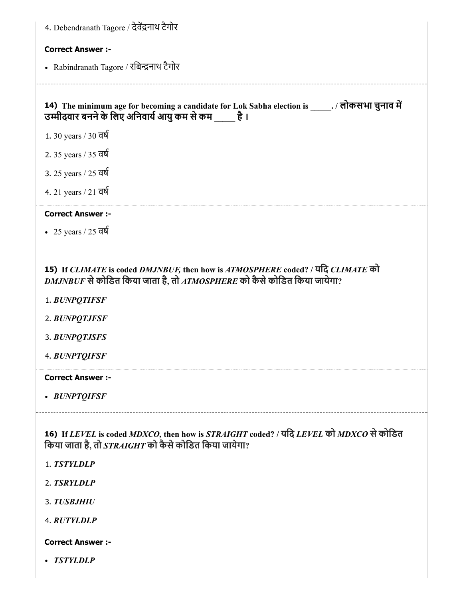| 4. Debendranath Tagore / देवेंद्रनाथ टैगोर                                                                                                                 |
|------------------------------------------------------------------------------------------------------------------------------------------------------------|
| <b>Correct Answer :-</b>                                                                                                                                   |
| • Rabindranath Tagore / रबिन्द्रनाथ टैगोर                                                                                                                  |
|                                                                                                                                                            |
| 14) The minimum age for becoming a candidate for Lok Sabha election is ______. / लोकसभा चुनाव में<br>उम्मीदवार बनने के लिए अनिवार्य आयु कम से कम है ।      |
| 1. 30 years / 30 वर्ष                                                                                                                                      |
| 2. 35 years / 35 वर्ष                                                                                                                                      |
| 3. 25 years / 25 वर्ष                                                                                                                                      |
| 4. 21 years / 21 $\overline{d}$                                                                                                                            |
| <b>Correct Answer :-</b>                                                                                                                                   |
| • 25 years / 25 $\overline{d}$                                                                                                                             |
|                                                                                                                                                            |
| 15) If CLIMATE is coded DMJNBUF, then how is ATMOSPHERE coded? / यदि CLIMATE को<br>DMJNBUF से कोडित किया जाता है, तो ATMOSPHERE को कैसे कोडित किया जायेगा? |
| 1. BUNPQTIFSF                                                                                                                                              |
| 2. BUNPOTJFSF                                                                                                                                              |
| 3. BUNPQTJSFS                                                                                                                                              |
| 4. BUNPTQIFSF                                                                                                                                              |
| <b>Correct Answer:-</b>                                                                                                                                    |
| • BUNPTQIFSF                                                                                                                                               |
|                                                                                                                                                            |
| 16) If LEVEL is coded MDXCO, then how is STRAIGHT coded? / यदि LEVEL को MDXCO से कोडित<br>किया जाता है, तो $STRAIGHT$ को कैसे कोडित किया जायेगा?           |
| 1. TSTYLDLP                                                                                                                                                |
| 2. TSRYLDLP                                                                                                                                                |
| 3. TUSBJHIU                                                                                                                                                |
| 4. RUTYLDLP                                                                                                                                                |
| <b>Correct Answer :-</b>                                                                                                                                   |
| • TSTYLDLP                                                                                                                                                 |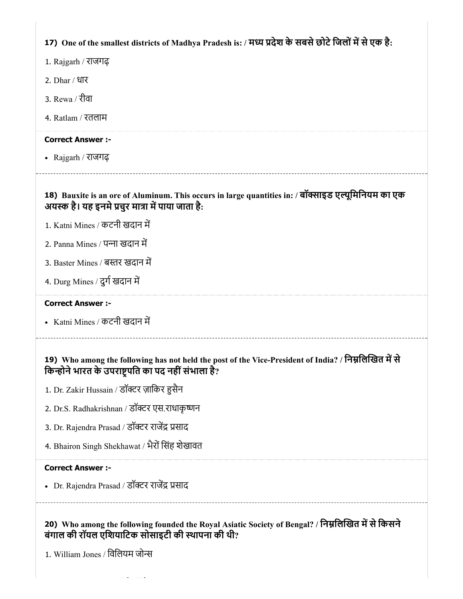| 17) One of the smallest districts of Madhya Pradesh is: / मध्य प्रदेश के सबसे छोटे जिलों में से एक है: |  |  |  |
|--------------------------------------------------------------------------------------------------------|--|--|--|
|                                                                                                        |  |  |  |
|                                                                                                        |  |  |  |
|                                                                                                        |  |  |  |

1. Rajgarh / राजगढ़

- 2. Dhar / धार
- 3. Rewa / रीवा
- 4. Ratlam / रतलाम

#### Correct Answer :-

Rajgarh / राजगढ़

# 18) Bauxite is an ore of Aluminum. This occurs in large quantities in: / बॉसाइड एयूिमिनयम का एक अयस्क है। यह इनमे प्रचुर मात्रा में पाया जाता है:

- 1. Katni Mines / कटनी खदान म
- 2. Panna Mines / पना खदान म
- 3. Baster Mines / बस्तर खदान में
- 4. Durg Mines / दुर्ग खदान में

#### Correct Answer :-

• Katni Mines / कटनी खदान में

# 19) Who among the following has not held the post of the Vice-President of India? / निम्नलिखित में से किन्होने भारत के उपराष्ट्रपति का पद नहीं संभाला है?

- 1. Dr. Zakir Hussain / डॉक्टर ज़ाकिर हुसैन
- 2. Dr.S. Radhakrishnan / डॉक्टर एस.राधाकृष्णन
- 3. Dr. Rajendra Prasad / डॉक्टर राजेंद्र प्रसाद
- 4. Bhairon Singh Shekhawat / भैरों सिंह शेखावत

#### Correct Answer :-

• Dr. Rajendra Prasad / डॉक्टर राजेंद्र प्रसाद

20) Who among the following founded the Royal Asiatic Society of Bengal? / निम्नलिखित में से किसने बंगाल की रॉयल एिशयािटक सोसाइटी की थापना की थी?

1. William Jones / िविलयम जो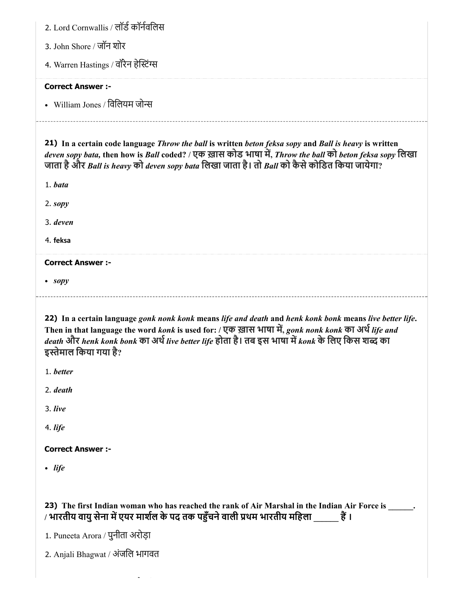| 2. Lord Cornwallis / लॉर्ड कॉर्नवलिस  |
|---------------------------------------|
| 3. John Shore / जॉन शोर               |
| 4. Warren Hastings / वॉरेन हेस्टिंग्स |
| <b>Correct Answer:-</b>               |
| • William Jones / विलियम जोन्स        |
|                                       |

21) In a certain code language *Throw the ball* is written *beton feksa sopy* and *Ball is heavy* is written *deven sopy bata,* then how is *Ball* coded? / एक ख़ास कोड भाषा म, *Throw the ball* को *beton feksa sopy* िलखा जाता हैऔर *Ball is heavy* को *deven sopy bata* िलखा जाता है। तो *Ball* को कैसेकोिडत िकया जायेगा?

1. *bata*

2. *sopy*

3. *deven*

4. feksa

Correct Answer :-

*sopy*

22) In a certain language *gonk nonk konk* means *life and death* and *henk konk bonk* means *live better life*. Then in that language the word *konk* is used for: / एक ख़ास भाषा म, *gonk nonk konk* का अथ*life and death* और *henk konk bonk* का अथ*live better life* होता है। तब इस भाषा म*konk* के िलए िकस श का इस्तेमाल किया गया है?

1. *better*

2. *death*

3. *live*

4. *life*

# Correct Answer :-

*life*

23) The first Indian woman who has reached the rank of Air Marshal in the Indian Air Force is \_\_\_\_\_\_. / भारतीय वायु सेना में एयर मार्शल के पद तक पहुँचने वाली प्रथम भारतीय महिला  $\ddot{\vec{e}}$  ।

1. Puneeta Arora / पुनीता अरोड़ा

2. Anjali Bhagwat / अंजिल भागवत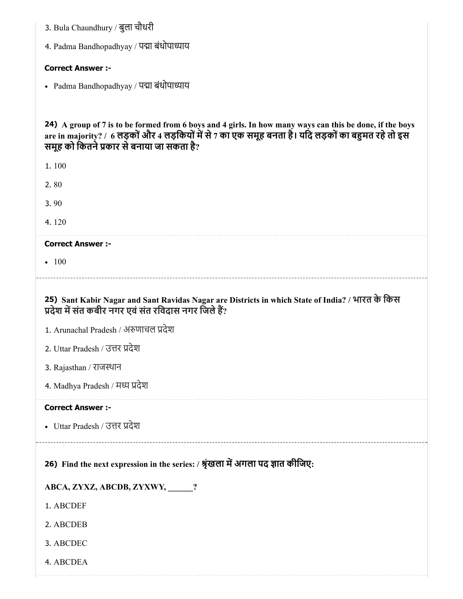- 3. Bula Chaundhury / बुला चौधरी
- 4. Padma Bandhopadhyay / पद्मा बंधोपाध्याय

• Padma Bandhopadhyay / पद्मा बंधोपाध्याय

24) A group of 7 is to be formed from 6 boys and 4 girls. In how many ways can this be done, if the boys are in majority? / 6 लड़कों और 4 लड़कियों में से 7 का एक समूह बनता है। यदि लड़कों का बहुमत रहे तो इस समूह को कितने प्रकार से बनाया जा सकता है?

1. 100

2. 80

3. 90

4. 120

#### Correct Answer :-

 $-100$ 

25) Sant Kabir Nagar and Sant Ravidas Nagar are Districts in which State of India? / भारत के िकस प्रदेश में संत कबीर नगर एवं संत रविदास नगर जिले हैं?

- 1. Arunachal Pradesh / अणाचल देश
- 2. Uttar Pradesh / उत्तर प्रदेश
- 3. Rajasthan / राजथान
- 4. Madhya Pradesh / मध्य प्रदेश

#### Correct Answer :-

• Uttar Pradesh / उत्तर प्रदेश

26) Find the next expression in the series: / श्रृंखला में अगला पद ज्ञात कीजिए:

ABCA, ZYXZ, ABCDB, ZYXWY, \_\_\_\_\_\_?

1. ABCDEF

- 2. ABCDEB
- 3. ABCDEC
- 4. ABCDEA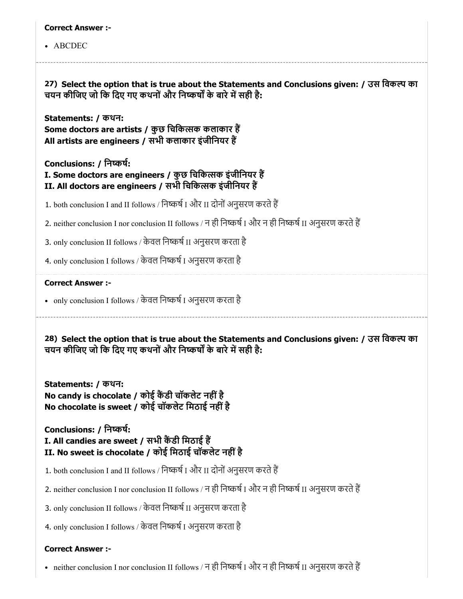#### ABCDEC

27) Select the option that is true about the Statements and Conclusions given: / उस िवक का चयन कीजिए जो कि दिए गए कथनों और निष्कर्षों के बारे में सही है:

Statements: / कथन:

Some doctors are artists / कुछ चिकित्सक कलाकार हैं All artists are engineers / सभी कलाकार इंजीिनयर ह

Conclusions: / िनकष:

I. Some doctors are engineers / कुछ चिकित्सक इंजीनियर हैं II. All doctors are engineers / सभी चिकित्सक इंजीनियर हैं

1. both conclusion I and II follows / निष्कर्ष I और II दोनों अनुसरण करते हैं

2. neither conclusion I nor conclusion II follows / न ही निष्कर्ष I और न ही निष्कर्ष II अनुसरण करते हैं

3. only conclusion II follows / केवल निष्कर्ष II अनुसरण करता है

4. only conclusion I follows / केवल निष्कर्ष I अनुसरण करता है

#### Correct Answer :-

• only conclusion I follows / केवल निष्कर्ष I अनुसरण करता है

28) Select the option that is true about the Statements and Conclusions given: / उस िवक का चयन कीजिए जो कि दिए गए कथनों और निष्कर्षों के बारे में सही है:

Statements: / कथन: No candy is chocolate / कोई कैंडी चॉकलेट नहीं है No chocolate is sweet / कोई चॉकलेट िमठाई नहींहै

Conclusions: / िनकष: I. All candies are sweet / सभी कैंडी मिठाई हैं II. No sweet is chocolate / कोई मिठाई चॉकलेट नहीं है

- 1. both conclusion I and II follows / निष्कर्ष I और II दोनों अनुसरण करते हैं
- 2. neither conclusion I nor conclusion II follows / न ही निष्कर्ष I और न ही निष्कर्ष II अनुसरण करते हैं

3. only conclusion II follows / केवल निष्कर्ष II अनुसरण करता है

4. only conclusion I follows / केवल निष्कर्ष I अनुसरण करता है

# Correct Answer :-

•  $\;$  neither conclusion I nor conclusion II follows / न ही निष्कर्ष I और न ही निष्कर्ष II अनुसरण करते हैं $\;$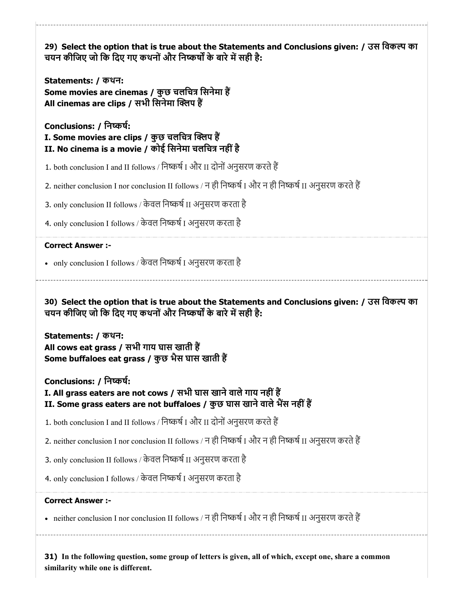29) Select the option that is true about the Statements and Conclusions given: / उस िवक का 30) Select the option that is true about the Statements and Conclusions given: / उस िवक का 31) In the following question, some group of letters is given, all of which, except one, share a common चयन कीजिए जो कि दिए गए कथनों और निष्कर्षों के बारे में सही है: Statements: / कथन: Some movies are cinemas / कुछ चलचित्र सिनेमा हैं All cinemas are clips / सभी सिनेमा क्लिप हैं Conclusions: / िनकष: I. Some movies are clips / कुछ चलचित्र क्लिप हैं II. No cinema is a movie / कोई सिनेमा चलचित्र नहीं है 1. both conclusion I and II follows / निष्कर्ष I और II दोनों अनुसरण करते हैं 2. neither conclusion I nor conclusion II follows / न ही निष्कर्ष I और न ही निष्कर्ष II अनुसरण करते हैं 3. only conclusion II follows / केवल निष्कर्ष II अनुसरण करता है 4. only conclusion I follows / केवल निष्कर्ष I अनुसरण करता है Correct Answer :- •  $\,$  only conclusion I follows / केवल निष्कर्ष I अनुसरण करता है चयन कीजिए जो कि दिए गए कथनों और निष्कर्षों के बारे में सही है: Statements: / कथन: All cows eat grass / सभी गाय घास खाती ह Some buffaloes eat grass / कुछ भैस घास खाती ह Conclusions: / िनकष: I. All grass eaters are not cows / सभी घास खाने वाले गाय नहीं हैं II. Some grass eaters are not buffaloes / कुछ घास खाने वाले भैंस नहीं हैं 1. both conclusion I and II follows / निष्कर्ष I और II दोनों अनुसरण करते हैं 2. neither conclusion I nor conclusion II follows / न ही निष्कर्ष I और न ही निष्कर्ष II अनुसरण करते हैं 3. only conclusion II follows / केवल निष्कर्ष II अनुसरण करता है 4. only conclusion I follows / केवल निष्कर्ष I अनुसरण करता है Correct Answer :- •  $\;$  neither conclusion I nor conclusion II follows / न ही निष्कर्ष I और न ही निष्कर्ष II अनुसरण करते हैं $\;$ 

similarity while one is different.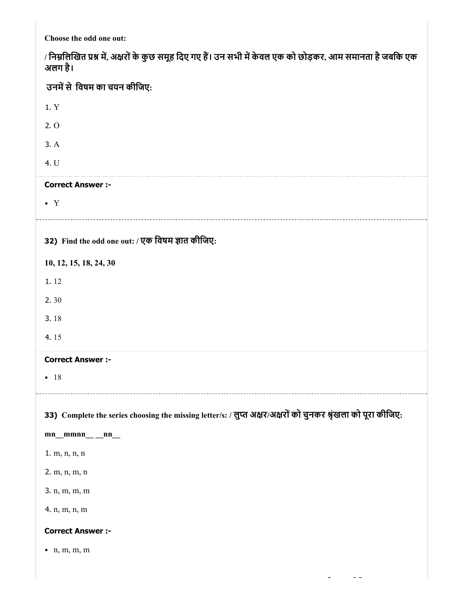Choose the odd one out:

| / निम्नलिखित प्रश्न में, अक्षरों के कुछ समूह दिए गए हैं। उन सभी में केवल एक को छोड़कर, आम समानता है जबकि एक<br>अलग है। |
|------------------------------------------------------------------------------------------------------------------------|
| उनमें से विषम का चयन कीजिए:                                                                                            |
| 1. Y                                                                                                                   |
| 2.0                                                                                                                    |
| 3. A                                                                                                                   |
| 4. U                                                                                                                   |
| <b>Correct Answer :-</b>                                                                                               |
| $\bullet$ Y                                                                                                            |
|                                                                                                                        |
| 32) Find the odd one out: / एक विषम ज्ञात कीजिए:                                                                       |
| 10, 12, 15, 18, 24, 30                                                                                                 |
| 1.12                                                                                                                   |
| 2.30                                                                                                                   |
| 3.18                                                                                                                   |
| 4.15                                                                                                                   |
| <b>Correct Answer :-</b>                                                                                               |
| $-18$                                                                                                                  |
|                                                                                                                        |
| 33) Complete the series choosing the missing letter/s: / लुप्त अक्षर/अक्षरों को चुनकर श्रृंखला को पूरा कीजिए:          |
| $mn$ <sub>__</sub> $mmn$ <sub>__</sub> $nn$ <sub>__</sub>                                                              |
| 1. m, n, n, n                                                                                                          |
| 2. m, n, m, n                                                                                                          |
| 3. n, m, m, m                                                                                                          |
| 4. n, m, n, m                                                                                                          |
| <b>Correct Answer :-</b>                                                                                               |
| $\bullet$ n, m, m, m                                                                                                   |
|                                                                                                                        |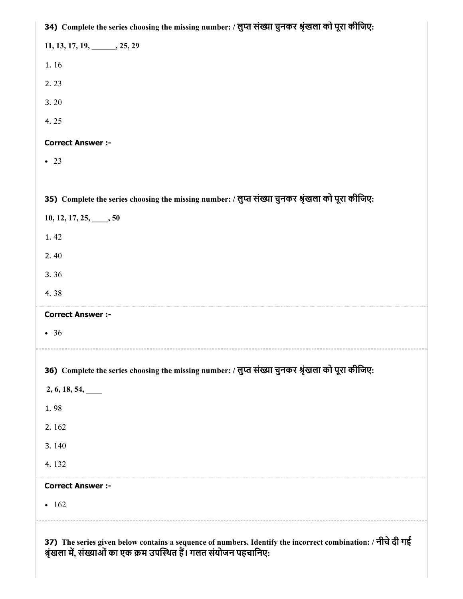37) The series given below contains a sequence of numbers. Identify the incorrect combination: / नीचेदी गई श्रृंखला में, संख्याओं का एक क्रम उपस्थित है। गलत संयोजन पहचानिए: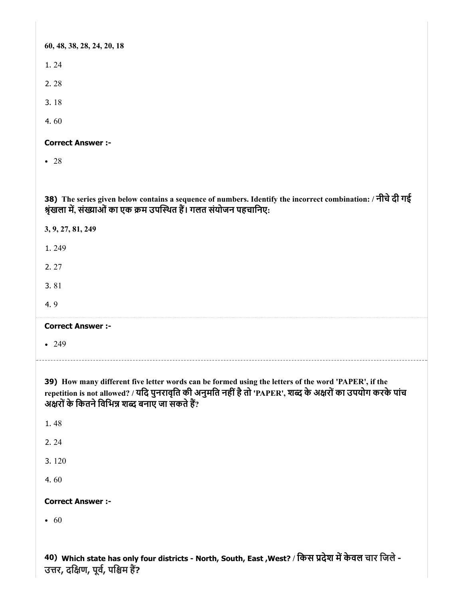| 60, 48, 38, 28, 24, 20, 18                                                                                                                                                                                                                                             |
|------------------------------------------------------------------------------------------------------------------------------------------------------------------------------------------------------------------------------------------------------------------------|
| 1.24                                                                                                                                                                                                                                                                   |
| 2.28                                                                                                                                                                                                                                                                   |
| 3.18                                                                                                                                                                                                                                                                   |
| 4.60                                                                                                                                                                                                                                                                   |
| <b>Correct Answer :-</b>                                                                                                                                                                                                                                               |
| $\bullet$ 28                                                                                                                                                                                                                                                           |
|                                                                                                                                                                                                                                                                        |
| 38) The series given below contains a sequence of numbers. Identify the incorrect combination: / नीचे दी गई<br>श्रृंखला में, संख्याओं का एक क्रम उपस्थित हैं। गलत संयोजन पहचानिए:                                                                                      |
| 3, 9, 27, 81, 249                                                                                                                                                                                                                                                      |
| 1.249                                                                                                                                                                                                                                                                  |
| 2.27                                                                                                                                                                                                                                                                   |
| 3.81                                                                                                                                                                                                                                                                   |
| 4.9                                                                                                                                                                                                                                                                    |
| <b>Correct Answer :-</b>                                                                                                                                                                                                                                               |
| • 249                                                                                                                                                                                                                                                                  |
|                                                                                                                                                                                                                                                                        |
| 39) How many different five letter words can be formed using the letters of the word 'PAPER', if the<br>repetition is not allowed? / यदि पुनरावृति की अनुमति नहीं है तो 'PAPER', शब्द के अक्षरों का उपयोग करके पांच<br>अक्षरों के कितने विभिन्न शब्द बनाए जा सकते हैं? |
| 1.48                                                                                                                                                                                                                                                                   |
| 2.24                                                                                                                                                                                                                                                                   |
| 3.120                                                                                                                                                                                                                                                                  |
| 4.60                                                                                                                                                                                                                                                                   |
| <b>Correct Answer :-</b>                                                                                                                                                                                                                                               |
| $\bullet$ 60                                                                                                                                                                                                                                                           |
|                                                                                                                                                                                                                                                                        |

40) Which state has only four districts - North, South, East ,West? / किस प्रदेश में केवल चार जिले -उत्तर, दक्षिण, पूर्व, पश्चिम हे?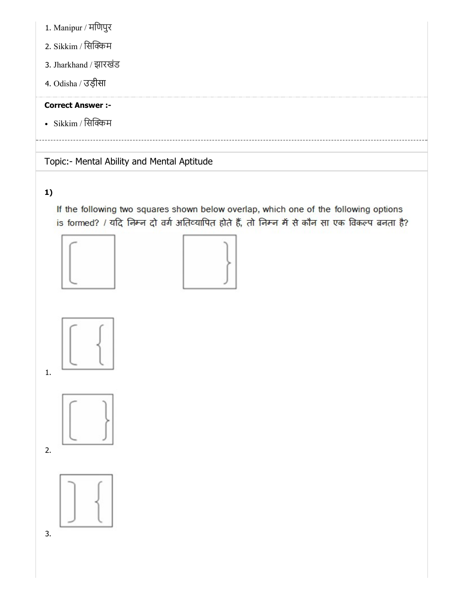- 1. Manipur / मिणपुर
- 2. Sikkim / सिक्किम
- 3. Jharkhand / झारखंड
- 4. Odisha / उड़ीसा

• Sikkim / सिक्किम

Topic:- Mental Ability and Mental Aptitude

# 1)

If the following two squares shown below overlap, which one of the following options is formed? / यदि निम्न दो वर्ग अतिव्यापित होते हैं, तो निम्न में से कौन सा एक विकल्प बनता है?









2.

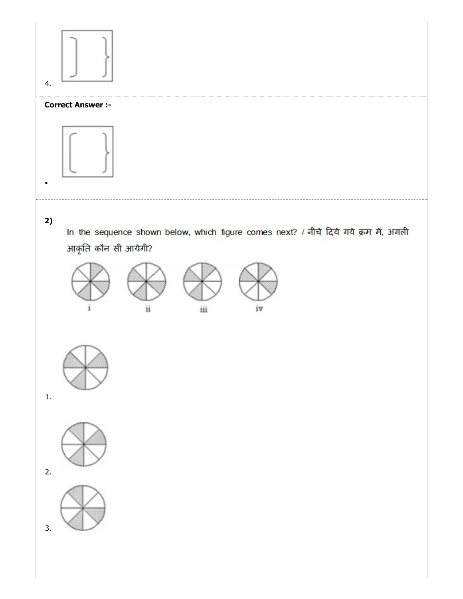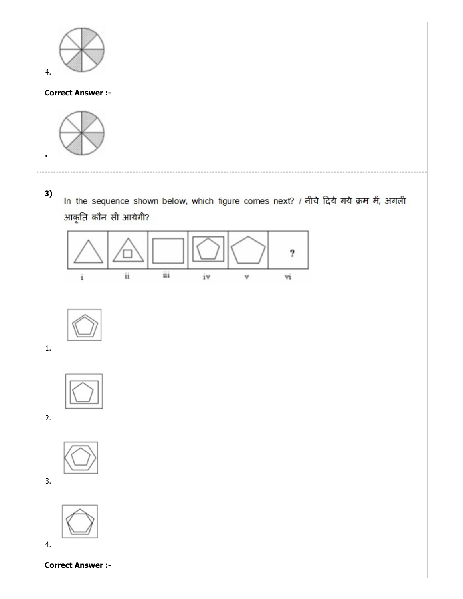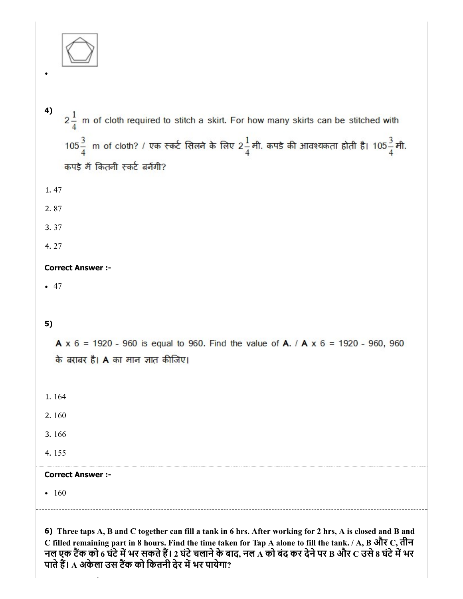

- 4)  $2\frac{1}{4}$  m of cloth required to stitch a skirt. For how many skirts can be stitched with  $105\frac{3}{4}$  m of cloth? / एक स्कर्ट सिलने के लिए 2 $\frac{1}{4}$ मी. कपडे की आवश्यकता होती है। 105 $\frac{3}{4}$ मी. कपड़े में कितनी स्कर्ट बनेंगी?
- 1. 47
- 2. 87
- 3. 37
- 4. 27

• 47

# 5)

**A**  $x$  6 = 1920 - 960 is equal to 960. Find the value of **A**. / **A**  $x$  6 = 1920 - 960, 960 के बराबर है। A का मान ज्ञात कीजिए।

- 1. 164
- 2. 160
- 3. 166
- 4. 155

# Correct Answer :-

• 160

6) Three taps A, B and C together can fill a tank in 6 hrs. After working for 2 hrs, A is closed and B and C filled remaining part in 8 hours. Find the time taken for Tap A alone to fill the tank. / A, B और C, तीन नल एक टैंक को 6 घंटे में भर सकते हैं। 2 घंटे चलाने के बाद, नल A को बंद कर देने पर B और C उसे 8 घंटे में भर पाते हैं। A अकेला उस टैंक को कितनी देर में भर पायेगा?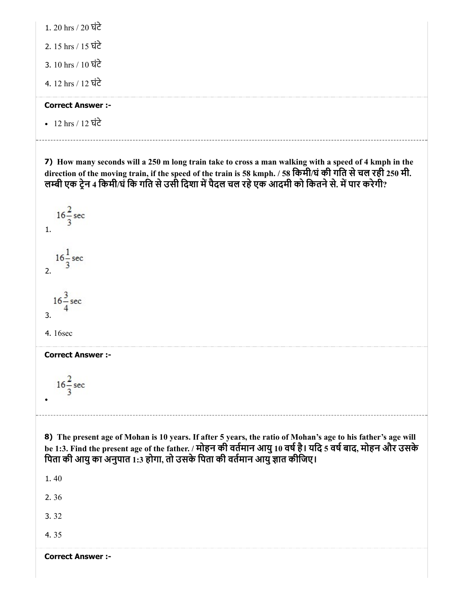| 1. 20 hrs / 20 घंटे |  |
|---------------------|--|
|---------------------|--|

2. 15 hrs / 15 घंटे

3. 10 hrs / 10 घंटे

4. 12 hrs / 12 घंटे

#### Correct Answer :-

12 hrs / 12 घंटे

7) How many seconds will a 250 m long train take to cross a man walking with a speed of 4 kmph in the direction of the moving train, if the speed of the train is 58 kmph. / 58 िकमी/घंकी गित सेचल रही 250 मी. लम्बी एक ट्रेन 4 किमी/घं कि गति से उसी दिशा में पैदल चल रहे एक आदमी को कितने से. में पार करेगी?

 $16\frac{2}{3}$  sec 1.  $16\frac{1}{3}$  sec 2.  $16\frac{3}{5}$  sec 3.

4. 16sec

Correct Answer :-

 $16\frac{2}{3}$  sec

8) The present age of Mohan is 10 years. If after 5 years, the ratio of Mohan's age to his father's age will be 1:3. Find the present age of the father. / मोहन की वर्तमान आयु 10 वर्ष है। यदि 5 वर्ष बाद, मोहन और उसके पिता की आयु का अनुपात 1:3 होगा, तो उसके पिता की वर्तमान आयु ज्ञात कीजिए।

1. 40

2. 36

3. 32

4. 35

Correct Answer :-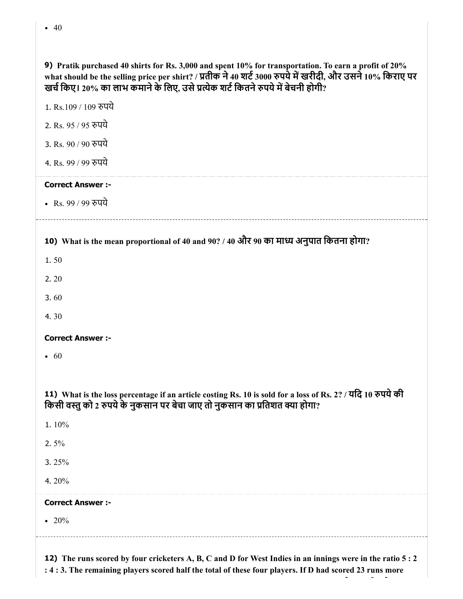| what should be the selling price per shirt? / प्रतीक ने 40 शर्ट 3000 रुपये में खरीदी, और उसने 10% किराए पर<br>खर्च किए। 20% का लाभ कमाने के लिए, उसे प्रत्येक शर्ट कितने रुपये में बेचनी होगी? |
|------------------------------------------------------------------------------------------------------------------------------------------------------------------------------------------------|
| 1. Rs.109 / 109 रुपये                                                                                                                                                                          |
| 2. Rs. 95 / 95 रुपये                                                                                                                                                                           |
| 3. Rs. 90 / 90 रुपये                                                                                                                                                                           |
| 4. Rs. 99 / 99 रुपये                                                                                                                                                                           |
| <b>Correct Answer :-</b>                                                                                                                                                                       |
| • Rs. 99 / 99 रुपये                                                                                                                                                                            |
|                                                                                                                                                                                                |
| 10) What is the mean proportional of 40 and 90? / 40 और 90 का माध्य अनुपात कितना होगा?                                                                                                         |
| 1.50                                                                                                                                                                                           |
| 2.20                                                                                                                                                                                           |
| 3.60                                                                                                                                                                                           |
| 4.30                                                                                                                                                                                           |
| <b>Correct Answer :-</b>                                                                                                                                                                       |
| • 60                                                                                                                                                                                           |
|                                                                                                                                                                                                |
| 11) What is the loss percentage if an article costing Rs. 10 is sold for a loss of Rs. 2? / यदि 10 रुपये की<br>किसी वस्तु को 2 रुपये के नुकसान पर बेचा जाए तो नुकसान का प्रतिशत क्या होगा?     |
| 1.10%                                                                                                                                                                                          |
| 2.5%                                                                                                                                                                                           |
| 3.25%                                                                                                                                                                                          |
| 4.20%                                                                                                                                                                                          |
| <b>Correct Answer :-</b>                                                                                                                                                                       |

9) Pratik purchased 40 shirts for Rs. 3,000 and spent 10% for transportation. To earn a profit of 20%

20%

12) The runs scored by four cricketers A, B, C and D for West Indies in an innings were in the ratio 5 : 2 : 4 : 3. The remaining players scored half the total of these four players. If D had scored 23 runs more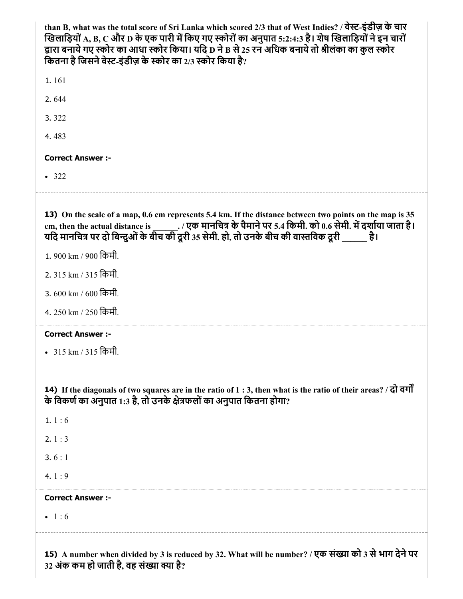| than B, what was the total score of Sri Lanka which scored 2/3 that of West Indies? / वेस्ट-इंडीज़ के चार<br>खिलाड़ियों A, B, C और D के एक पारी में किए गए स्कोरों का अनुपात 5:2:4:3 है। शेष खिलाड़ियों ने इन चारों<br>द्वारा बनाये गए स्कोर का आधा स्कोर किया। यदि D ने B से 25 रन अधिक बनाये तो श्रीलंका का कुल स्कोर<br>कितना है जिसने वेस्ट-इंडीज़ के स्कोर का 2/3 स्कोर किया है? |
|---------------------------------------------------------------------------------------------------------------------------------------------------------------------------------------------------------------------------------------------------------------------------------------------------------------------------------------------------------------------------------------|
| 1.161                                                                                                                                                                                                                                                                                                                                                                                 |
| 2.644                                                                                                                                                                                                                                                                                                                                                                                 |
| 3.322                                                                                                                                                                                                                                                                                                                                                                                 |
| 4.483                                                                                                                                                                                                                                                                                                                                                                                 |
| <b>Correct Answer :-</b>                                                                                                                                                                                                                                                                                                                                                              |
| $-322$                                                                                                                                                                                                                                                                                                                                                                                |
| 13) On the scale of a map, 0.6 cm represents 5.4 km. If the distance between two points on the map is 35<br>यदि मानचित्र पर दो बिन्दुओं के बीच की दूरी 35 सेमी. हो, तो उनके बीच की वास्तविक दूरी है।<br>1.900 km / 900 किमी.<br>2. 315 km / 315 किमी.<br>3, 600 km / 600 किमी.<br>4. 250 km / 250 किमी                                                                                |
| <b>Correct Answer :-</b><br>• 315 km / 315 किमी.                                                                                                                                                                                                                                                                                                                                      |
| 14) If the diagonals of two squares are in the ratio of $1:3$ , then what is the ratio of their areas? / $\overrightarrow{q}$ $\overrightarrow{q}$ $\overrightarrow{q}$<br>के विकर्ण का अनुपात 1:3 है, तो उनके क्षेत्रफलों का अनुपात कितना होगा?                                                                                                                                      |
| 1. $1:6$                                                                                                                                                                                                                                                                                                                                                                              |
| 2. $1:3$                                                                                                                                                                                                                                                                                                                                                                              |
| 3.6:1                                                                                                                                                                                                                                                                                                                                                                                 |
| 4.1:9                                                                                                                                                                                                                                                                                                                                                                                 |
| <b>Correct Answer:-</b>                                                                                                                                                                                                                                                                                                                                                               |
| • 1:6                                                                                                                                                                                                                                                                                                                                                                                 |
|                                                                                                                                                                                                                                                                                                                                                                                       |

15) A number when divided by 3 is reduced by 32. What will be number? / एक संख्या को 3 से भाग देने पर 32 अंक कम हो जाती है, वह संख्या क्या है?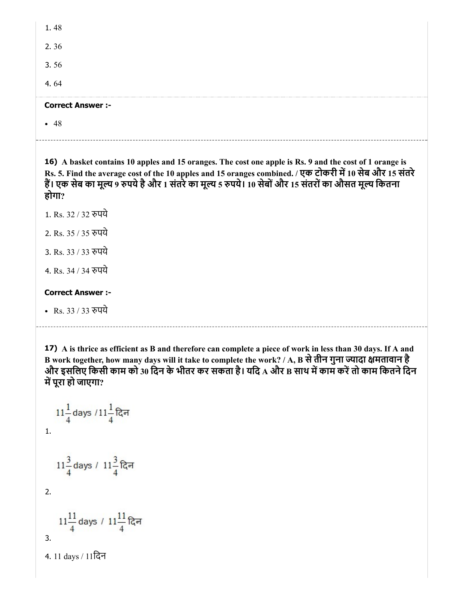| • 48                     |
|--------------------------|
| <b>Correct Answer :-</b> |
| 4.64                     |
| 3.56                     |
| 2.36                     |
| 1.48                     |

16) A basket contains 10 apples and 15 oranges. The cost one apple is Rs. 9 and the cost of 1 orange is Rs. 5. Find the average cost of the 10 apples and 15 oranges combined. / एक टोकरी में 10 सेब और 15 संतरे हैं। एक सेब का मूल्य 9 रुपये है और 1 संतरे का मूल्य 5 रुपये। 10 सेबों और 15 संतरों का औसत मूल्य कितना होगा?

1. Rs. 32 / 32 पये

2. Rs. 35 / 35 पये

3. Rs. 33 / 33 पये

4. Rs. 34 / 34 पये

#### Correct Answer :-

• Rs. 33 / 33 रुपये

17) A is thrice as efficient as B and therefore can complete a piece of work in less than 30 days. If A and B work together, how many days will it take to complete the work? / A, B से तीन गुना ज्यादा क्षमतावान है और इसलिए किसी काम को 30 दिन के भीतर कर सकता है। यदि A और B साथ में काम करें तो काम कितने दिन में पूरा हो जाएगा?

$$
11\frac{1}{4} \text{ days } / 11\frac{1}{4} \text{ G} = 1.
$$
  
\n
$$
11\frac{3}{4} \text{ days } / 11\frac{3}{4} \text{ G} = 11\frac{11}{4} \text{ days } / 11\frac{11}{4} \text{ G} = 11\frac{11}{4} \text{ days } / 11\frac{11}{4} \text{ G} = 11 \text{ days } / 11\text{ G} = 111 \text{ days } / 11\text{ G} = 111 \text{ days } / 11\text{ G} = 111 \text{ days } / 11\text{ G} = 111 \text{ days } / 11\text{ G} = 111 \text{ days } / 11\text{ G} = 111 \text{ days } / 11\text{ G} = 111 \text{ days } / 11\text{ G} = 111 \text{ days } / 11\text{ G} = 111 \text{ days } / 11\text{ G} = 111 \text{ days } / 11\text{ G} = 111 \text{ days } / 11\text{ G} = 111 \text{ days } / 11\text{ G} = 111 \text{ days } / 11\text{ G} = 111 \text{ days } / 11\text{ G} = 111 \text{ days } / 11\text{ G} = 111 \text{ days } / 11\text{ G} = 111 \text{ days } / 11\text{ G} = 111 \text{ days } / 11\text{ G} = 111 \text{ days } / 11\text{ G} = 111 \text{ days } / 11\text{ G} = 111 \text{ days } / 11\text{ G} = 111 \text{ days } / 11\text{ G} = 111 \text{ days } / 11\text{ G} = 111 \text{ days } / 11\text{ G} = 111 \text{ days } / 11\text{ G} = 111 \text{ days } / 11\text{ G} = 111 \text{ days } / 11\text{ G} = 111 \text{ days } / 11\text{ G} = 111 \text{ days } / 11\text{ G} = 111 \text{ days } / 11\text{ G} = 111 \text{ days } / 11\text{ G} = 111 \text{ days
$$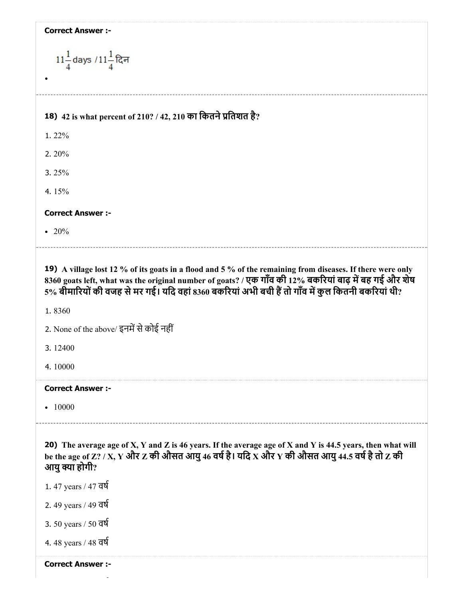| <b>Correct Answer :-</b> |  |  |
|--------------------------|--|--|
|--------------------------|--|--|

| $11\frac{1}{4}$ days / $11\frac{1}{4}$ दिन                                                                                                                                                                                                                                                                                                                                                           |
|------------------------------------------------------------------------------------------------------------------------------------------------------------------------------------------------------------------------------------------------------------------------------------------------------------------------------------------------------------------------------------------------------|
| 18) 42 is what percent of 210? / 42, 210 का कितने प्रतिशत है?                                                                                                                                                                                                                                                                                                                                        |
| 1.22%                                                                                                                                                                                                                                                                                                                                                                                                |
| 2.20%                                                                                                                                                                                                                                                                                                                                                                                                |
| 3. $25%$                                                                                                                                                                                                                                                                                                                                                                                             |
| 4.15%                                                                                                                                                                                                                                                                                                                                                                                                |
| <b>Correct Answer :-</b>                                                                                                                                                                                                                                                                                                                                                                             |
| • 20%                                                                                                                                                                                                                                                                                                                                                                                                |
| 19) A village lost 12 % of its goats in a flood and 5 % of the remaining from diseases. If there were only<br>8360 goats left, what was the original number of goats? / एक गाँव की 12% बकरियां बाढ़ में बह गई और शेष<br>5% बीमारियों की वजह से मर गई। यदि वहां 8360 बकरियां अभी बची हैं तो गाँव में कुल कितनी बकरियां थी?<br>1.8360<br>2. None of the above/ इनमें से कोई नहीं<br>3.12400<br>4.10000 |
| <b>Correct Answer :-</b><br>$-10000$                                                                                                                                                                                                                                                                                                                                                                 |
| 20) The average age of X, Y and Z is 46 years. If the average age of X and Y is 44.5 years, then what will<br>be the age of Z? / X, Y और Z की औसत आयु 46 वर्ष है। यदि X और Y की औसत आयु 44.5 वर्ष है तो Z की<br>आयु क्या होगी?<br>1.47 years / 47 वर्ष<br>2. 49 years / 49 वर्ष<br>3. 50 years / 50 वर्ष<br>4.48 years / 48 वर्ष                                                                     |

 $\ddot{\phantom{1}}$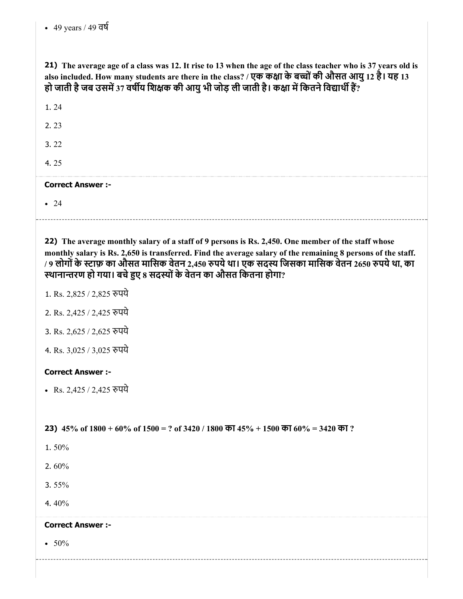21) The average age of a class was 12. It rise to 13 when the age of the class teacher who is 37 years old is also included. How many students are there in the class? / एक कक्षा के बच्चों की औसत आयु 12 है। यह 13 हो जाती है जब उसमें 37 वर्षीय शिक्षक की आयु भी जोड़ ली जाती है। कक्षा में कितने विद्यार्थी हैं?

| 1.24                     |  |
|--------------------------|--|
| 2.23                     |  |
| 3.22                     |  |
| 4.25                     |  |
| <b>Correct Answer :-</b> |  |
| $\bullet$ 24             |  |
|                          |  |

22) The average monthly salary of a staff of 9 persons is Rs. 2,450. One member of the staff whose monthly salary is Rs. 2,650 is transferred. Find the average salary of the remaining 8 persons of the staff. / 9 लोगों के स्टाफ़ का औसत मासिक वेतन 2,450 रुपये था। एक सदस्य जिसका मासिक वेतन 2650 रुपये था, का स्थानान्तरण हो गया। बचे हुए 8 सदस्यों के वेतन का औसत कितना होगा?

- 1. Rs. 2,825 / 2,825 पये
- 2. Rs. 2,425 / 2,425 पये
- 3. Rs. 2,625 / 2,625 पये
- 4. Rs. 3,025 / 3,025 पये

#### Correct Answer :-

• Rs. 2,425 / 2,425 रुपये

23)  $45\%$  of  $1800 + 60\%$  of  $1500 = ?$  of  $3420 / 1800$  का  $45\% + 1500$  का  $60\% = 3420$  का ?

- 1. 50%
- 2. 60%
- 3. 55%
- 4. 40%

#### Correct Answer :-

 $\cdot 50\%$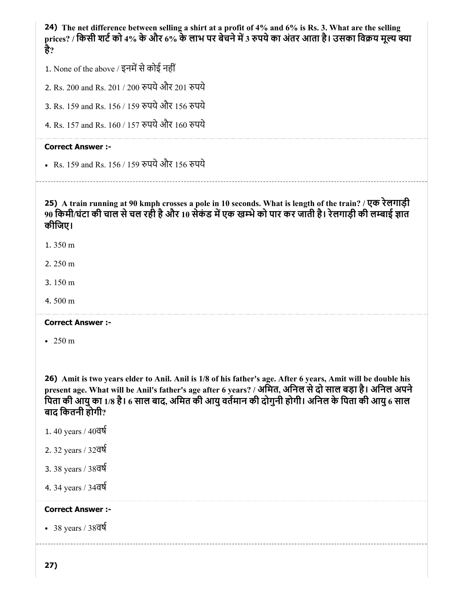24) The net difference between selling a shirt at a profit of 4% and 6% is Rs. 3. What are the selling prices? / किसी शर्ट को 4% के और 6% के लाभ पर बेचने में 3 रुपये का अंतर आता है। उसका विक्रय मूल्य क्या है?

- 1. None of the above / इनमें से कोई नहीं
- 2. Rs. 200 and Rs. 201 / 200 पयेऔर 201 पये
- 3. Rs. 159 and Rs. 156 / 159 पयेऔर 156 पये
- 4. Rs. 157 and Rs. 160 / 157 पयेऔर 160 पये

#### Correct Answer :-

Rs. 159 and Rs. 156 / 159 पयेऔर 156 पये

25) A train running at 90 kmph crosses a pole in 10 seconds. What is length of the train? / एक रेलगाड़ी 90 किमी/घंटा की चाल से चल रही है और 10 सेकंड में एक खम्भे को पार कर जाती है। रेलगाड़ी की लम्बाई ज्ञात कीिजए।

- 1. 350 m
- 2. 250 m
- 3. 150 m
- 4. 500 m

#### Correct Answer :-

• 250 m

26) Amit is two years elder to Anil. Anil is 1/8 of his father's age. After 6 years, Amit will be double his present age. What will be Anil's father's age after 6 years? / अमित, अनिल से दो साल बड़ा है। अनिल अपने पिता की आयु का 1/8 है। 6 साल बाद, अमित की आयु वर्तमान की दोगुनी होगी। अनिल के पिता की आयु 6 साल बाद िकतनी होगी?

- 1. 40 years / 40वष
- 2. 32 years / 32वष
- 3. 38 years / 38वष
- 4. 34 years / 34वष

#### Correct Answer :-

38 years / 38वष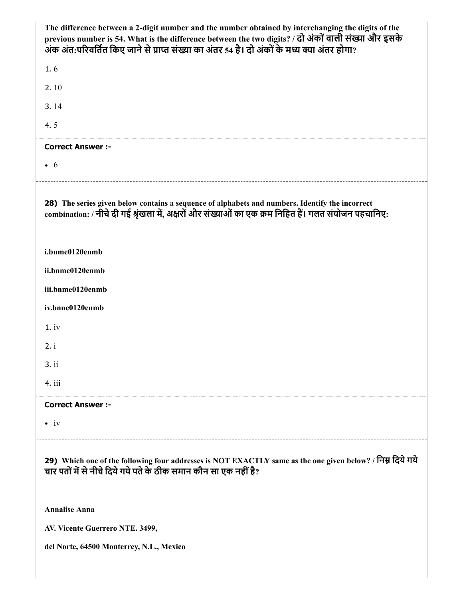| The difference between a 2-digit number and the number obtained by interchanging the digits of the<br>previous number is 54. What is the difference between the two digits? / दो अंकों वाली संख्या और इसके<br>अंक अंत:परिवर्तित किए जाने से प्राप्त संख्या का अंतर 54 है। दो अंकों के मध्य क्या अंतर होगा? |
|------------------------------------------------------------------------------------------------------------------------------------------------------------------------------------------------------------------------------------------------------------------------------------------------------------|
| 1.6                                                                                                                                                                                                                                                                                                        |
| 2.10                                                                                                                                                                                                                                                                                                       |
| 3.14                                                                                                                                                                                                                                                                                                       |
| 4.5                                                                                                                                                                                                                                                                                                        |
| <b>Correct Answer :-</b>                                                                                                                                                                                                                                                                                   |
| $\bullet$ 6                                                                                                                                                                                                                                                                                                |
| 28) The series given below contains a sequence of alphabets and numbers. Identify the incorrect<br>combination: / नीचे दी गई श्रृंखला में, अक्षरों और संख्याओं का एक क्रम निहित हैं। गलत संयोजन पहचानिए:                                                                                                   |
| i.bnme0120enmb                                                                                                                                                                                                                                                                                             |
| ii.bnme0120enmb                                                                                                                                                                                                                                                                                            |
| iii.bnme0120enmb                                                                                                                                                                                                                                                                                           |
| iv.bnne0120enmb                                                                                                                                                                                                                                                                                            |
| 1.iv                                                                                                                                                                                                                                                                                                       |
| 2. i                                                                                                                                                                                                                                                                                                       |
| 3.ii                                                                                                                                                                                                                                                                                                       |
| 4. iii                                                                                                                                                                                                                                                                                                     |
| <b>Correct Answer:-</b>                                                                                                                                                                                                                                                                                    |
| $\bullet$ iv                                                                                                                                                                                                                                                                                               |
| 29) Which one of the following four addresses is NOT EXACTLY same as the one given below? / निम्न दिये गये<br>चार पतों में से नीचे दिये गये पते के ठीक समान कौन सा एक नहीं है?                                                                                                                             |
| <b>Annalise Anna</b>                                                                                                                                                                                                                                                                                       |
| AV. Vicente Guerrero NTE. 3499,                                                                                                                                                                                                                                                                            |
| del Norte, 64500 Monterrey, N.L., Mexico                                                                                                                                                                                                                                                                   |
|                                                                                                                                                                                                                                                                                                            |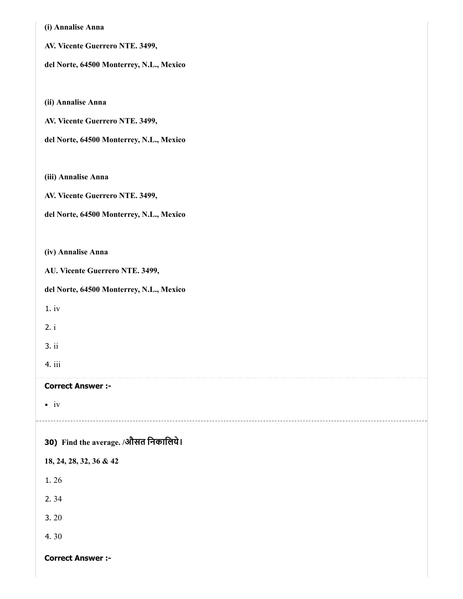| (i) Annalise Anna                        |
|------------------------------------------|
| AV. Vicente Guerrero NTE. 3499,          |
| del Norte, 64500 Monterrey, N.L., Mexico |
|                                          |
| (ii) Annalise Anna                       |
| AV. Vicente Guerrero NTE. 3499,          |
| del Norte, 64500 Monterrey, N.L., Mexico |
|                                          |
| (iii) Annalise Anna                      |
| AV. Vicente Guerrero NTE. 3499,          |
| del Norte, 64500 Monterrey, N.L., Mexico |
|                                          |
| (iv) Annalise Anna                       |
| AU. Vicente Guerrero NTE. 3499,          |
| del Norte, 64500 Monterrey, N.L., Mexico |
| 1.iv                                     |
| 2. i                                     |
| 3.ii                                     |
| 4. iii                                   |
| <b>Correct Answer:-</b>                  |
| $\bullet$ iv                             |
|                                          |
| 30) Find the average. /औसत निकालिये।     |
| 18, 24, 28, 32, 36 & 42                  |
| 1.26                                     |
| 2.34                                     |
| 3.20                                     |
| 4.30                                     |
| <b>Correct Answer:-</b>                  |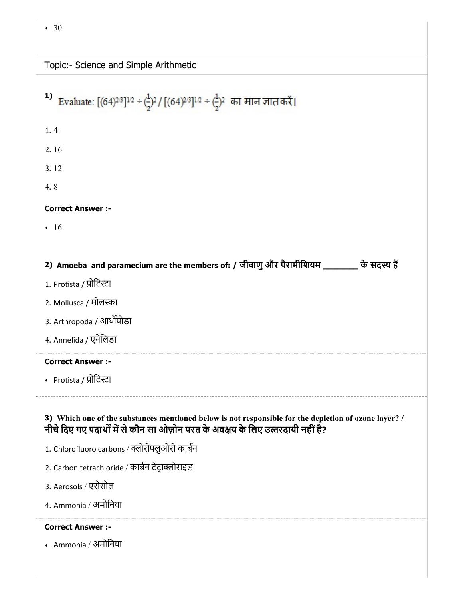| Topic:- Science and Simple Arithmetic |  |
|---------------------------------------|--|
|                                       |  |

| 1)<br>Evaluate: $[(64)^{2/3}]^{1/2} \div \left(\frac{1}{2}\right)^2 / [(64)^{2/3}]^{1/2} \div \left(\frac{1}{2}\right)^2$ का मान ज्ञात करें। |
|----------------------------------------------------------------------------------------------------------------------------------------------|
| 1.4                                                                                                                                          |
| 2.16                                                                                                                                         |
| 3.12                                                                                                                                         |
| 4.8                                                                                                                                          |
| <b>Correct Answer :-</b>                                                                                                                     |
| -16                                                                                                                                          |
|                                                                                                                                              |
| 2) Amoeba and paramecium are the members of: / जीवाणु और पैरामीशियम ________ के सदस्य हैं                                                    |
| 1. Protista / प्रोटिस्टा                                                                                                                     |
| 2. Mollusca / मोलस्का                                                                                                                        |
| 3. Arthropoda / आर्थोपोडा                                                                                                                    |
| 4. Annelida / एनेलिडा                                                                                                                        |
| <b>Correct Answer :-</b>                                                                                                                     |
| • Protista / प्रोटिस्टा                                                                                                                      |
| 3) Which one of the substances mentioned below is not responsible for the depletion of ozone layer? /                                        |
| नीचे दिए गए पदार्थों में से कौन सा ओज़ोन परत के अवक्षय के लिए उत्तरदायी नहीं है?                                                             |
| 1. Chlorofluoro carbons / क्लोरोफ्लुओरो कार्बन                                                                                               |
| 2. Carbon tetrachloride / कार्बन टेट्राक्लोराइड                                                                                              |
| 3. Aerosols / एरोसोल                                                                                                                         |
| 4. Ammonia / अमोनिया                                                                                                                         |
| <b>Correct Answer :-</b><br>• Ammonia / अमोनिया                                                                                              |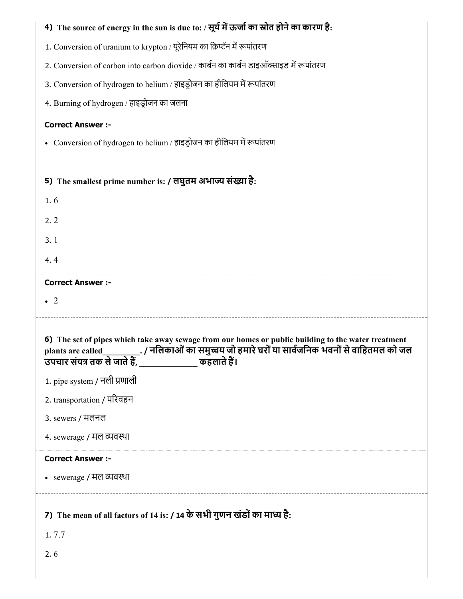| 4) The source of energy in the sun is due to: / सूर्य में ऊर्जा का स्रोत होने का कारण है:           |
|-----------------------------------------------------------------------------------------------------|
| 1. Conversion of uranium to krypton / यूरेनियम का क्रिप्टॅन में रूपांतरण                            |
| 2. Conversion of carbon into carbon dioxide / कार्बन का कार्बन डाइऑक्साइड में रूपांतरण              |
| 3. Conversion of hydrogen to helium / हाइड्रोजन का हीलियम में रूपांतरण                              |
| 4. Burning of hydrogen / हाइड्रोजन का जलना                                                          |
| <b>Correct Answer :-</b>                                                                            |
| • Conversion of hydrogen to helium / हाइड्रोजन का हीलियम में रूपांतरण                               |
|                                                                                                     |
| 5) The smallest prime number is: / लघुतम अभाज्य संख्या है:                                          |
| 1.6                                                                                                 |
| 2.2                                                                                                 |
| 3.1                                                                                                 |
| 4.4                                                                                                 |
| <b>Correct Answer :-</b>                                                                            |
| $\cdot$ 2                                                                                           |
|                                                                                                     |
|                                                                                                     |
| 6) The set of pipes which take away sewage from our homes or public building to the water treatment |
|                                                                                                     |
| 1. pipe system / नली प्रणाली                                                                        |
| 2. transportation / परिवहन                                                                          |
| 3. sewers / मलनल                                                                                    |
| 4. sewerage / मल व्यवस्था                                                                           |
| <b>Correct Answer :-</b>                                                                            |
| • sewerage / मल व्यवस्था                                                                            |
|                                                                                                     |
| 7) The mean of all factors of 14 is: / 14 के सभी गुणन खंडों का माध्य है:<br>1.7.7                   |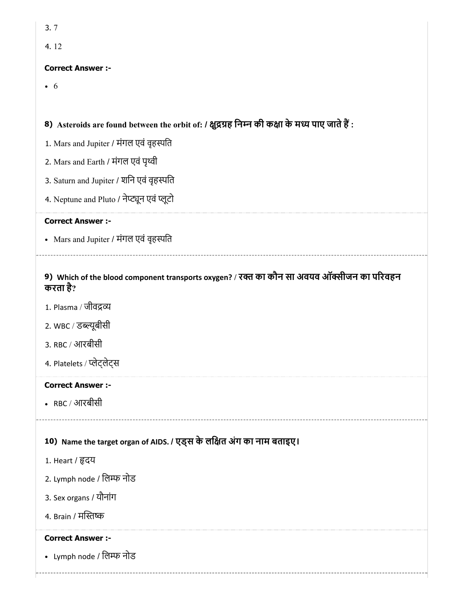| 3.7                                                                                                    |
|--------------------------------------------------------------------------------------------------------|
| 4.12                                                                                                   |
| <b>Correct Answer :-</b>                                                                               |
| $\bullet$ 6                                                                                            |
|                                                                                                        |
| 8) Asteroids are found between the orbit of: / क्षुद्रग्रह निम्न की कक्षा के मध्य पाए जाते हैं :       |
| 1. Mars and Jupiter / मंगल एवं वृहस्पति                                                                |
| 2. Mars and Earth / मंगल एवं पृथ्वी                                                                    |
| 3. Saturn and Jupiter / शनि एवं वृहस्पति                                                               |
| 4. Neptune and Pluto / नेप्ट्यून एवं प्लूटो                                                            |
| <b>Correct Answer :-</b>                                                                               |
| • Mars and Jupiter / मंगल एवं वृहस्पति                                                                 |
|                                                                                                        |
| 9) Which of the blood component transports oxygen? / रक्त का कौन सा अवयव ऑक्सीजन का परिवहन<br>करता है? |
| 1. Plasma / जीवद्रव्य                                                                                  |
| 2. WBC / डब्ल्यूबीसी                                                                                   |
| 3. RBC / आरबीसी                                                                                        |
| 4. Platelets / प्लेट्लेट्स                                                                             |
| <b>Correct Answer:-</b>                                                                                |
| • RBC / आरबीसी                                                                                         |
|                                                                                                        |
| 10) Name the target organ of AIDS. / एड्स के लक्षित अंग का नाम बताइए।                                  |
| 1. Heart / हृदय                                                                                        |
| 2. Lymph node / लिम्फ नोड                                                                              |
| 3. Sex organs / यौनांग                                                                                 |
| 4. Brain / मस्तिष्क                                                                                    |
| <b>Correct Answer :-</b>                                                                               |
| • Lymph node / लिम्फ नोड                                                                               |
|                                                                                                        |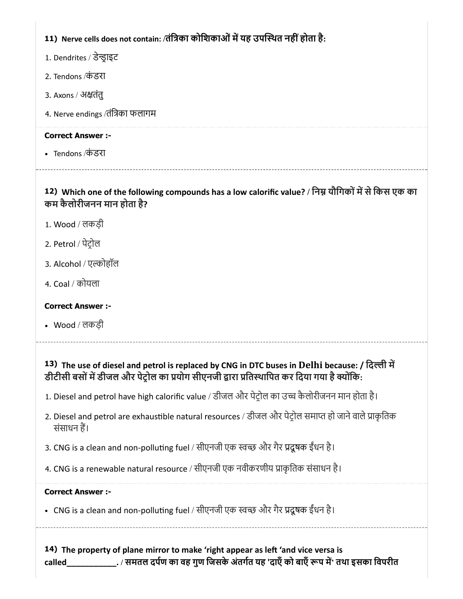# 11) Nerve cells does not contain: /तंत्रिका कोशिकाओं में यह उपस्थित नहीं होता है:

- 1. Dendrites / डेन्ड्राइट
- 2. Tendons /कं डरा
- 3. Axons / अतंतु
- 4. Nerve endings /तंिका फलागम

#### Correct Answer :-

• Tendons ⁄कंडरा

# 12) Which one of the following compounds has a low calorific value? / निम्न यौगिकों में से किस एक का कम कैलोरीजनन मान होता है?

- 1. Wood / लकड़ी
- 2. Petrol / पेटोल
- 3. Alcohol / एल्कोहॉल
- 4. Coal / कोयला

# Correct Answer :-

Wood / लकड़ी

# 13) The use of diesel and petrol is replaced by CNG in DTC buses in Delhi because: / दिल्ली में डीटीसी बसों में डीजल और पेट्रोल का प्रयोग सीएनजी द्वारा प्रतिस्थापित कर दिया गया है क्योंकि:

- 1. Diesel and petrol have high calorific value / डीजल और पेटोल का उ कैलोरीजनन मान होता है।
- 2. Diesel and petrol are exhaustible natural resources / डीजल और पेट़ोल समाप्त हो जाने वाले प्राकृतिक संसाधन ह।
- 3. CNG is a clean and non-polluting fuel / सीएनजी एक स्वच्छ और गैर प्रदूषक ईंधन है।
- 4. CNG is a renewable natural resource / सीएनजी एक नवीकरणीय प्राकृतिक संसाधन है।

# Correct Answer :-

• CNG is a clean and non-polluting fuel / सीएनजी एक स्वच्छ और गैर प्रदूषक ईंधन है।

14) The property of plane mirror to make 'right appear as left 'and vice versa is called\_\_\_\_\_\_\_\_\_\_\_. / समतल दपण का वह गुण िजसके अंतगत यह 'दाएँको बाएँप म' तथा इसका िवपरीत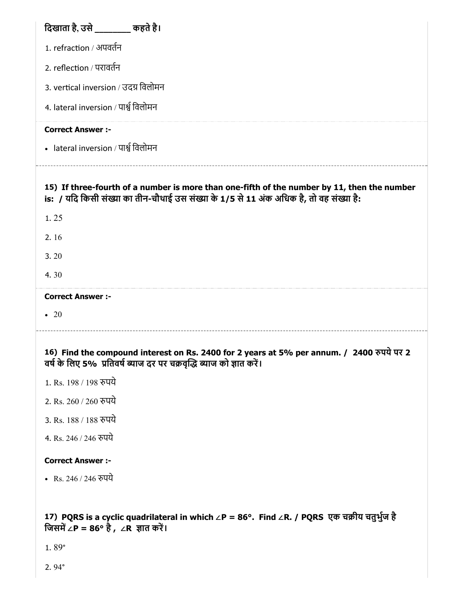| दिखाता है, उसे ________ कहते है।                                                                                                                                                       |
|----------------------------------------------------------------------------------------------------------------------------------------------------------------------------------------|
| 1. refraction / अपवर्तन                                                                                                                                                                |
| 2. reflection / परावर्तन                                                                                                                                                               |
| 3. vertical inversion / उदग्र विलोमन                                                                                                                                                   |
| 4. lateral inversion / पार्श्व विलोमन                                                                                                                                                  |
| <b>Correct Answer :-</b>                                                                                                                                                               |
| • lateral inversion / पार्श्व विलोमन                                                                                                                                                   |
| 15) If three-fourth of a number is more than one-fifth of the number by 11, then the number<br>is: / यदि किसी संख्या का तीन-चौथाई उस संख्या के 1/5 से 11 अंक अधिक है, तो वह संख्या है: |
| 1.25                                                                                                                                                                                   |
| 2.16                                                                                                                                                                                   |
| 3.20                                                                                                                                                                                   |
| 4.30                                                                                                                                                                                   |
|                                                                                                                                                                                        |
| <b>Correct Answer :-</b>                                                                                                                                                               |
| $\bullet$ 20                                                                                                                                                                           |
| 16) Find the compound interest on Rs. 2400 for 2 years at 5% per annum. / 2400 रुपये पर 2<br>वर्ष के लिए 5% प्रतिवर्ष ब्याज दर पर चक्रवृद्धि ब्याज को ज्ञात करें।                      |
| 1. Rs. 198 / 198 रुपये                                                                                                                                                                 |
| 2. Rs. 260 / 260 रुपये                                                                                                                                                                 |
| 3. Rs. 188 / 188 रुपये                                                                                                                                                                 |
| 4. Rs. 246 / 246 रुपये                                                                                                                                                                 |
| <b>Correct Answer :-</b>                                                                                                                                                               |
| • Rs. 246 / 246 रुपये                                                                                                                                                                  |
|                                                                                                                                                                                        |
| 17) PQRS is a cyclic quadrilateral in which ∠P = 86°. Find ∠R. / PQRS एक चक्रीय चतुर्भुज है<br>जिसमें ∠P = 86° है , ∠R ज्ञात करें।                                                     |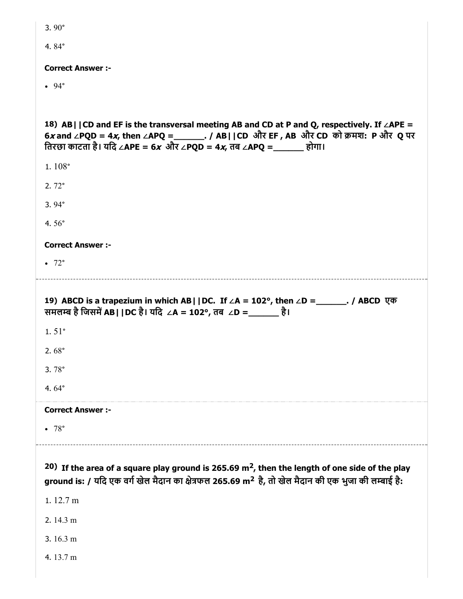| 3.90 $^{\circ}$                                                                                                                                                                                                                                                     |
|---------------------------------------------------------------------------------------------------------------------------------------------------------------------------------------------------------------------------------------------------------------------|
| 4.84 $^{\circ}$                                                                                                                                                                                                                                                     |
| <b>Correct Answer :-</b>                                                                                                                                                                                                                                            |
| $.94^\circ$                                                                                                                                                                                                                                                         |
|                                                                                                                                                                                                                                                                     |
| 18) AB   $ CD$ and EF is the transversal meeting AB and CD at P and Q, respectively. If $\angle$ APE =<br>6x and ∠PQD = 4x, then ∠APQ = _______. / AB  CD और EF, AB और CD को क्रमश: P और Q पर<br>तिरछा काटता है। यदि ∠APE = 6x और ∠PQD = 4x, तब ∠APQ =_______ होगा। |
| 1. $108°$                                                                                                                                                                                                                                                           |
| $2.72^\circ$                                                                                                                                                                                                                                                        |
| $3.94^{\circ}$                                                                                                                                                                                                                                                      |
| 4.56 $^{\circ}$                                                                                                                                                                                                                                                     |
| <b>Correct Answer :-</b>                                                                                                                                                                                                                                            |
| $\bullet$ 72°                                                                                                                                                                                                                                                       |
|                                                                                                                                                                                                                                                                     |
|                                                                                                                                                                                                                                                                     |
| 19) ABCD is a trapezium in which AB    DC. If ∠A = 102°, then ∠D = _______. / ABCD एक<br>समलम्ब है जिसमें AB  DC है। यदि ∠A = 102°, तब ∠D = ______ है।                                                                                                              |
| $1.51^{\circ}$                                                                                                                                                                                                                                                      |
| 2.68 $^{\circ}$                                                                                                                                                                                                                                                     |
| 3.78 $^{\circ}$                                                                                                                                                                                                                                                     |
| 4.64 $\degree$                                                                                                                                                                                                                                                      |
| <b>Correct Answer:-</b>                                                                                                                                                                                                                                             |
| • 78°                                                                                                                                                                                                                                                               |
|                                                                                                                                                                                                                                                                     |
| 20) If the area of a square play ground is 265.69 $m2$ , then the length of one side of the play<br>ground is: / यदि एक वर्ग खेल मैदान का क्षेत्रफल 265.69 m <sup>2</sup> है, तो खेल मैदान की एक भुजा की लम्बाई है:                                                 |
| 1.12.7 m                                                                                                                                                                                                                                                            |
| 2.14.3 m                                                                                                                                                                                                                                                            |
| 3.16.3 m                                                                                                                                                                                                                                                            |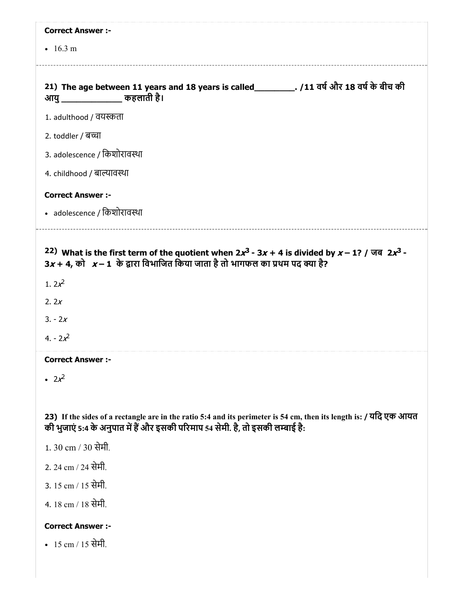| <b>Correct Answer :-</b>                                                                                                                                                                                                           |
|------------------------------------------------------------------------------------------------------------------------------------------------------------------------------------------------------------------------------------|
| $\cdot$ 16.3 m                                                                                                                                                                                                                     |
| 21) The age between 11 years and 18 years is called__________. /11 वर्ष और 18 वर्ष के बीच की<br>आयु ________________ कहलाती है।                                                                                                    |
| 1. adulthood / वयस्कता                                                                                                                                                                                                             |
| 2. toddler / बच्चा                                                                                                                                                                                                                 |
| 3. adolescence / किशोरावस्था                                                                                                                                                                                                       |
| 4. childhood / बाल्यावस्था                                                                                                                                                                                                         |
| <b>Correct Answer :-</b>                                                                                                                                                                                                           |
| • adolescence / किशोरावस्था                                                                                                                                                                                                        |
| 22) What is the first term of the quotient when $2x^3 - 3x + 4$ is divided by $x - 1$ ? / जब $2x^3 - 4$<br>$3x + 4$ , को $x - 1$ के द्वारा विभाजित किया जाता है तो भागफल का प्रथम पद क्या है?<br>1. $2x^2$<br>2. $2x$<br>$3. - 2x$ |
| $4. - 2x^2$                                                                                                                                                                                                                        |
| <b>Correct Answer:</b>                                                                                                                                                                                                             |
| • $2x^2$                                                                                                                                                                                                                           |
| 23) If the sides of a rectangle are in the ratio 5:4 and its perimeter is 54 cm, then its length is: / यदि एक आयत<br>की भुजाएं 5:4 के अनुपात में हैं और इसकी परिमाप 54 सेमी. है, तो इसकी लम्बाई है:                                |
| 1.30 cm / 30 सेमी.                                                                                                                                                                                                                 |
| 2. 24 cm / 24 सेमी.                                                                                                                                                                                                                |
| 3. 15 cm / 15 सेमी.                                                                                                                                                                                                                |
| 4. 18 cm / 18 सेमी.                                                                                                                                                                                                                |
| <b>Correct Answer :-</b>                                                                                                                                                                                                           |

•  $15 \text{ cm} / 15$  सेमी.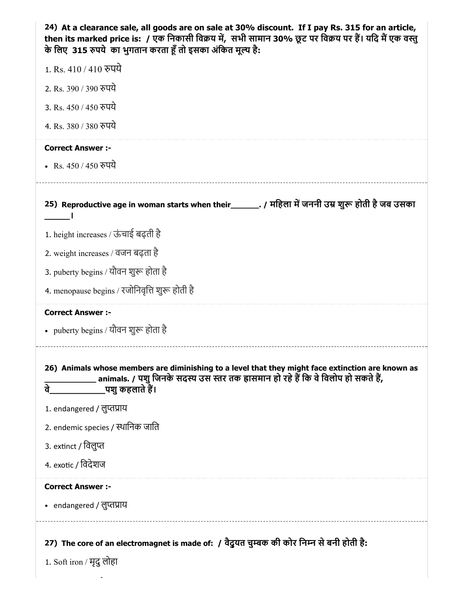| 24) At a clearance sale, all goods are on sale at 30% discount. If I pay Rs. 315 for an article,<br>then its marked price is:  / एक निकासी विक्रय में,  सभी सामान 30% छूट पर विक्रय पर हैं। यदि मैं एक वस्तु<br>के लिए 315 रुपये का भुगतान करता हूँ तो इसका अंकित मूल्य है: |
|-----------------------------------------------------------------------------------------------------------------------------------------------------------------------------------------------------------------------------------------------------------------------------|
| 1. Rs. 410 / 410 रुपये                                                                                                                                                                                                                                                      |
| 2. Rs. 390 / 390 रुपये                                                                                                                                                                                                                                                      |
| 3. Rs. 450 / 450 रुपये                                                                                                                                                                                                                                                      |
| 4. Rs. 380 / 380 रुपये                                                                                                                                                                                                                                                      |
| <b>Correct Answer :-</b>                                                                                                                                                                                                                                                    |
| • Rs. 450 / 450 रुपये                                                                                                                                                                                                                                                       |
| 25) Reproductive age in woman starts when their________. / महिला में जननी उम्र शुरू होती है जब उसका                                                                                                                                                                         |
| 1. height increases / ऊंचाई बढ़ती है                                                                                                                                                                                                                                        |
| 2. weight increases / वजन बढ़ता है                                                                                                                                                                                                                                          |
| 3. puberty begins / यौवन शुरू होता है                                                                                                                                                                                                                                       |
| 4. menopause begins / रजोनिवृत्ति शुरू होती है                                                                                                                                                                                                                              |
| <b>Correct Answer :-</b>                                                                                                                                                                                                                                                    |
| • puberty begins / यौवन शुरू होता है                                                                                                                                                                                                                                        |
| 26) Animals whose members are diminishing to a level that they might face extinction are known as<br>animals. / पशु जिनके सदस्य उस स्तर तक ह्रासमान हो रहे हैं कि वे विलोप हो सकते हैं,<br>वे<br>_पशु कहलाते हैं।                                                           |
| 1. endangered / लुप्तप्राय                                                                                                                                                                                                                                                  |
| 2. endemic species / स्थानिक जाति                                                                                                                                                                                                                                           |
| 3. extinct / विलुप्त                                                                                                                                                                                                                                                        |
| 4. exotic / विदेशज                                                                                                                                                                                                                                                          |
| <b>Correct Answer :-</b>                                                                                                                                                                                                                                                    |
| • endangered / लुप्तप्राय                                                                                                                                                                                                                                                   |
| 27) The core of an electromagnet is made of: / वैदुयत चुम्बक की कोर निम्न से बनी होती है:                                                                                                                                                                                   |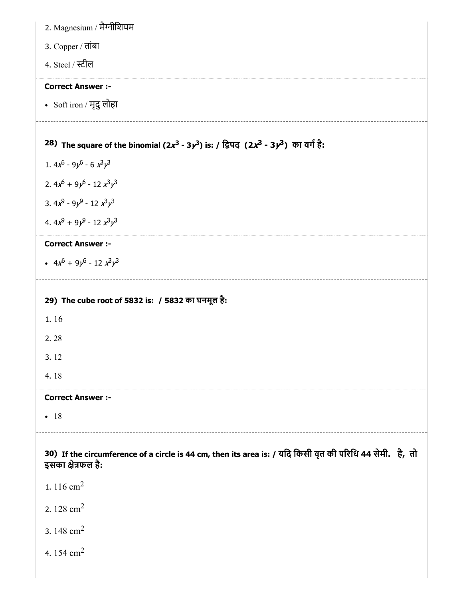| 2. Magnesium / मैग्नीशियम                                                                                                      |
|--------------------------------------------------------------------------------------------------------------------------------|
| 3. Copper / तांबा                                                                                                              |
| 4. Steel / स्टील                                                                                                               |
| <b>Correct Answer :-</b>                                                                                                       |
| • Soft iron / मृदु लोहा                                                                                                        |
|                                                                                                                                |
| 28) The square of the binomial $(2x^3 - 3y^3)$ is: / द्विपद $(2x^3 - 3y^3)$ का वर्ग है:                                        |
| 1. $4x^6 - 9y^6 - 6x^3y^3$                                                                                                     |
| 2. $4x^{6} + 9y^{6} - 12x^{3}y^{3}$                                                                                            |
| 3. $4x^9 - 9y^9 - 12x^3y^3$                                                                                                    |
| 4. $4x^9 + 9y^9 - 12x^3y^3$                                                                                                    |
| <b>Correct Answer :-</b>                                                                                                       |
| • $4x^6 + 9y^6 - 12x^3y^3$                                                                                                     |
|                                                                                                                                |
| 29) The cube root of 5832 is: / 5832 का घनमूल है:                                                                              |
| 1.16                                                                                                                           |
| 2.28                                                                                                                           |
| 3.12                                                                                                                           |
| 4.18                                                                                                                           |
| <b>Correct Answer :-</b>                                                                                                       |
| $-18$                                                                                                                          |
|                                                                                                                                |
| 30) If the circumference of a circle is 44 cm, then its area is: / यदि किसी वृत की परिधि 44 सेमी. है, तो<br>इसका क्षेत्रफल है: |
| 1. 116 $cm2$                                                                                                                   |
| 2. 128 $\text{cm}^2$                                                                                                           |
| 3.148 $cm2$                                                                                                                    |